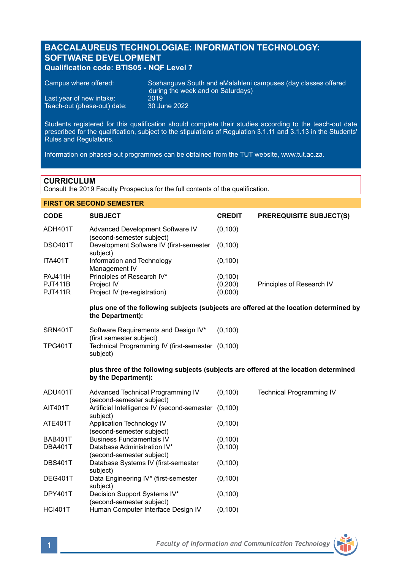## **BACCALAUREUS TECHNOLOGIAE: INFORMATION TECHNOLOGY: SOFTWARE DEVELOPMENT Qualification code: BTIS05 - NQF Level 7**

| Campus where offered:       | Soshanguve South and eMalahleni campuses (day classes offered<br>during the week and on Saturdays) |
|-----------------------------|----------------------------------------------------------------------------------------------------|
| Last year of new intake:    | 2019                                                                                               |
| Teach-out (phase-out) date: | 30 June 2022                                                                                       |

Students registered for this qualification should complete their studies according to the teach-out date prescribed for the qualification, subject to the stipulations of Regulation 3.1.11 and 3.1.13 in the Students' Rules and Regulations.

Information on phased-out programmes can be obtained from the TUT website, www.tut.ac.za.

### **CURRICULUM**

**FIRST OR SECOND SEMESTER** 

Consult the 2019 Faculty Prospectus for the full contents of the qualification.

## **CODE SUBJECT CREDIT PREREQUISITE SUBJECT(S)** ADH401T Advanced Development Software IV (0,100) (second-semester subject) DSO401T Development Software IV (first-semester (0,100) subject) ITA401T Information and Technology (0,100) Management IV PAJ411H Principles of Research IV\* (0,100) PJT411B Project IV<br>
PJT411R Project IV (re-registration) (0,000) Principles of Research IV<br>
(0,000) Project IV (re-registration) **plus one of the following subjects (subjects are offered at the location determined by the Department):** SRN401T Software Requirements and Design IV\* (0,100) (first semester subject) TPG401T Technical Programming IV (first-semester (0,100) subject) **plus three of the following subjects (subjects are offered at the location determined by the Department):** ADU401T Advanced Technical Programming IV (0,100) Technical Programming IV (second-semester subject) AIT401T Artificial Intelligence IV (second-semester (0,100) subject) ATE401T Application Technology IV (0,100) (second-semester subject) BAB401T Business Fundamentals IV (0,100)<br>DBA401T Database Administration IV\* (0.100) Database Administration  $IV^*$  (0,100) (second-semester subject) DBS401T Database Systems IV (first-semester (0,100) subject) DEG401T Data Engineering IV\* (first-semester (0,100) subject) DPY401T Decision Support Systems IV\* (0,100) (second-semester subject)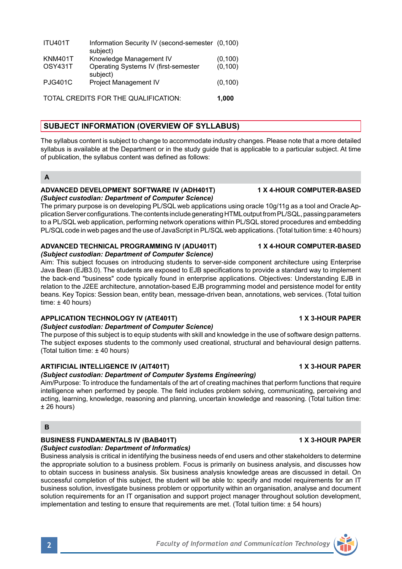| <b>Faculty of Information and Communication Technology</b> |  |
|------------------------------------------------------------|--|

|                              | 1 X |
|------------------------------|-----|
| ineering)                    |     |
| g machines that perform funo |     |
| Jom colving communicating    |     |

| <b>ITU401T</b>                       | Information Security IV (second-semester (0,100)<br>subject) |          |
|--------------------------------------|--------------------------------------------------------------|----------|
| <b>KNM401T</b>                       | Knowledge Management IV                                      | (0, 100) |
| OSY431T                              | Operating Systems IV (first-semester<br>subject)             | (0, 100) |
| <b>PJG401C</b>                       | Project Management IV                                        | (0, 100) |
| TOTAL CREDITS FOR THE QUALIFICATION. |                                                              |          |

# **SUBJECT INFORMATION (OVERVIEW OF SYLLABUS)**

The syllabus content is subject to change to accommodate industry changes. Please note that a more detailed syllabus is available at the Department or in the study guide that is applicable to a particular subject. At time of publication, the syllabus content was defined as follows:

### **ADVANCED DEVELOPMENT SOFTWARE IV (ADH401T) 1 X 4-HOUR COMPUTER-BASED** *(Subject custodian: Department of Computer Science)*

The primary purpose is on developing PL/SQL web applications using oracle 10g/11g as a tool and Oracle Application Server configurations. The contents include generating HTML output from PL/SQL, passing parameters to a PL/SQL web application, performing network operations within PL/SQL stored procedures and embedding PL/SQL code in web pages and the use of JavaScript in PL/SQL web applications. (Total tuition time: ± 40 hours)

### **ADVANCED TECHNICAL PROGRAMMING IV (ADU401T) 1 X 4-HOUR COMPUTER-BASED** *(Subject custodian: Department of Computer Science)*

Aim: This subject focuses on introducing students to server-side component architecture using Enterprise Java Bean (EJB3.0). The students are exposed to EJB specifications to provide a standard way to implement the back-end "business" code typically found in enterprise applications. Objectives: Understanding EJB in relation to the J2EE architecture, annotation-based EJB programming model and persistence model for entity beans. Key Topics: Session bean, entity bean, message-driven bean, annotations, web services. (Total tuition time:  $± 40$  hours)

## **APPLICATION TECHNOLOGY IV (ATE401T) 1 X 3-HOUR PAPER**

*(Subject custodian: Department of Computer Science)*

The purpose of this subject is to equip students with skill and knowledge in the use of software design patterns. The subject exposes students to the commonly used creational, structural and behavioural design patterns. (Total tuition time: ± 40 hours)

## **ARTIFICIAL INTELLIGENCE IV (AIT401T) 1 X 3-HOUR PAPER**

## *(Subject custodian: Department of Computer Systems Engi*

Aim/Purpose: To introduce the fundamentals of the art of creating machines that perform functions that require intelligence when performed by people. The field includes problem solving, communicating, perceiving and acting, learning, knowledge, reasoning and planning, uncertain knowledge and reasoning. (Total tuition time: ± 26 hours)

## **B**

# **BUSINESS FUNDAMENTALS IV (BAB401T) 1 X 3-HOUR PAPER**

*(Subject custodian: Department of Informatics)*

Business analysis is critical in identifying the business needs of end users and other stakeholders to determine the appropriate solution to a business problem. Focus is primarily on business analysis, and discusses how to obtain success in business analysis. Six business analysis knowledge areas are discussed in detail. On successful completion of this subject, the student will be able to: specify and model requirements for an IT business solution, investigate business problem or opportunity within an organisation, analyse and document solution requirements for an IT organisation and support project manager throughout solution development, implementation and testing to ensure that requirements are met. (Total tuition time:  $\pm$  54 hours)



**A**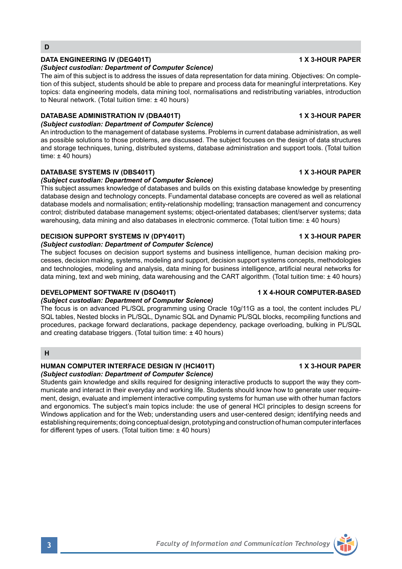## **DATA ENGINEERING IV (DEG401T) 1 X 3-HOUR PAPER**

### *(Subject custodian: Department of Computer Science)*

The aim of this subject is to address the issues of data representation for data mining. Objectives: On completion of this subject, students should be able to prepare and process data for meaningful interpretations. Key topics: data engineering models, data mining tool, normalisations and redistributing variables, introduction to Neural network. (Total tuition time: ± 40 hours)

## **DATABASE ADMINISTRATION IV (DBA401T) 1 X 3-HOUR PAPER**

### *(Subject custodian: Department of Computer Science)*

An introduction to the management of database systems. Problems in current database administration, as well as possible solutions to those problems, are discussed. The subject focuses on the design of data structures and storage techniques, tuning, distributed systems, database administration and support tools. (Total tuition time:  $\pm$  40 hours)

## **DATABASE SYSTEMS IV (DBS401T) 1 X 3-HOUR PAPER**

### *(Subject custodian: Department of Computer Science)*

This subject assumes knowledge of databases and builds on this existing database knowledge by presenting database design and technology concepts. Fundamental database concepts are covered as well as relational database models and normalisation; entity-relationship modelling; transaction management and concurrency control; distributed database management systems; object-orientated databases; client/server systems; data warehousing, data mining and also databases in electronic commerce. (Total tuition time: ± 40 hours)

## **DECISION SUPPORT SYSTEMS IV (DPY401T) 1 X 3-HOUR PAPER**

### *(Subject custodian: Department of Computer Science)*

The subject focuses on decision support systems and business intelligence, human decision making processes, decision making, systems, modeling and support, decision support systems concepts, methodologies and technologies, modeling and analysis, data mining for business intelligence, artificial neural networks for data mining, text and web mining, data warehousing and the CART algorithm. (Total tuition time: ± 40 hours)

## **DEVELOPMENT SOFTWARE IV (DSO401T) 1 X 4-HOUR COMPUTER-BASED**

### *(Subject custodian: Department of Computer Science)*

The focus is on advanced PL/SQL programming using Oracle 10g/11G as a tool, the content includes PL/ SQL tables, Nested blocks in PL/SQL, Dynamic SQL and Dynamic PL/SQL blocks, recompiling functions and procedures, package forward declarations, package dependency, package overloading, bulking in PL/SQL and creating database triggers. (Total tuition time: ± 40 hours)

### **H**

### **HUMAN COMPUTER INTERFACE DESIGN IV (HCI401T) 1 X 3-HOUR PAPER** *(Subject custodian: Department of Computer Science)*

Students gain knowledge and skills required for designing interactive products to support the way they communicate and interact in their everyday and working life. Students should know how to generate user requirement, design, evaluate and implement interactive computing systems for human use with other human factors and ergonomics. The subject's main topics include: the use of general HCI principles to design screens for Windows application and for the Web; understanding users and user-centered design; identifying needs and establishing requirements; doing conceptual design, prototyping and construction of human computer interfaces for different types of users. (Total tuition time:  $\pm$  40 hours)

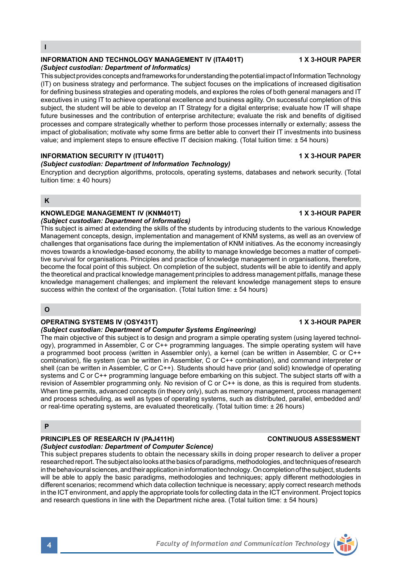### **INFORMATION AND TECHNOLOGY MANAGEMENT IV (ITA401T) 1 X 3-HOUR PAPER** *(Subject custodian: Department of Informatics)*

This subject provides concepts and frameworks for understanding the potential impact of Information Technology (IT) on business strategy and performance. The subject focuses on the implications of increased digitisation for defining business strategies and operating models, and explores the roles of both general managers and IT executives in using IT to achieve operational excellence and business agility. On successful completion of this subject, the student will be able to develop an IT Strategy for a digital enterprise; evaluate how IT will shape future businesses and the contribution of enterprise architecture; evaluate the risk and benefits of digitised processes and compare strategically whether to perform those processes internally or externally; assess the impact of globalisation; motivate why some firms are better able to convert their IT investments into business value; and implement steps to ensure effective IT decision making. (Total tuition time: ± 54 hours)

## **INFORMATION SECURITY IV (ITU401T) 1 X 3-HOUR PAPER**

## *(Subject custodian: Department of Information Technology)*

Encryption and decryption algorithms, protocols, operating systems, databases and network security. (Total tuition time: ± 40 hours)

### **K**

### **KNOWLEDGE MANAGEMENT IV (KNM401T) 1 X 3-HOUR PAPER** *(Subject custodian: Department of Informatics)*

This subject is aimed at extending the skills of the students by introducing students to the various Knowledge Management concepts, design, implementation and management of KNM systems, as well as an overview of challenges that organisations face during the implementation of KNM initiatives. As the economy increasingly moves towards a knowledge-based economy, the ability to manage knowledge becomes a matter of competitive survival for organisations. Principles and practice of knowledge management in organisations, therefore, become the focal point of this subject. On completion of the subject, students will be able to identify and apply the theoretical and practical knowledge management principles to address management pitfalls, manage these knowledge management challenges; and implement the relevant knowledge management steps to ensure success within the context of the organisation. (Total tuition time: ± 54 hours)

## **O**

## **OPERATING SYSTEMS IV (OSY431T) 1 X 3-HOUR PAPER**

## *(Subject custodian: Department of Computer Systems Engineering)*

The main objective of this subject is to design and program a simple operating system (using layered technology), programmed in Assembler, C or C++ programming languages. The simple operating system will have a programmed boot process (written in Assembler only), a kernel (can be written in Assembler, C or C++ combination), file system (can be written in Assembler, C or C++ combination), and command interpreter or shell (can be written in Assembler, C or C++). Students should have prior (and solid) knowledge of operating systems and C or C++ programming language before embarking on this subject. The subject starts off with a revision of Assembler programming only. No revision of C or C++ is done, as this is required from students. When time permits, advanced concepts (in theory only), such as memory management, process management and process scheduling, as well as types of operating systems, such as distributed, parallel, embedded and/ or real-time operating systems, are evaluated theoretically. (Total tuition time: ± 26 hours)

### **P**

# **PRINCIPLES OF RESEARCH IV (PAJ411H) CONTINUOUS ASSESSMENT**

*(Subject custodian: Department of Computer Science)* This subject prepares students to obtain the necessary skills in doing proper research to deliver a proper researched report. The subject also looks at the basics of paradigms, methodologies, and techniques of research in the behavioural sciences, and their application in information technology. On completion of the subject, students will be able to apply the basic paradigms, methodologies and techniques; apply different methodologies in different scenarios; recommend which data collection technique is necessary; apply correct research methods in the ICT environment, and apply the appropriate tools for collecting data in the ICT environment. Project topics and research questions in line with the Department niche area. (Total tuition time: ± 54 hours)

# **4** *Faculty of Information and Communication Technology*